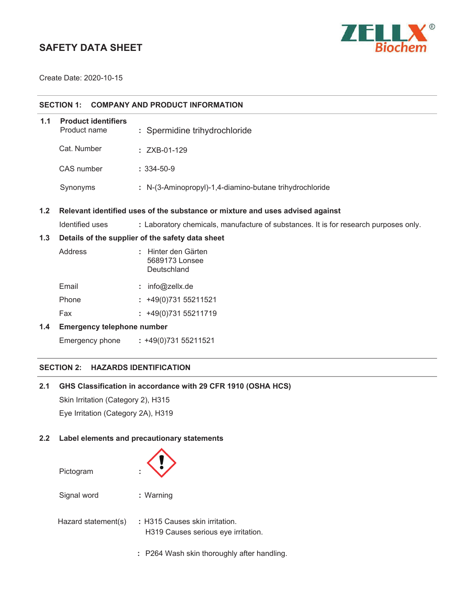# **SAFETY DATA SHEET**



Create Date: 2020-10-15

| <b>COMPANY AND PRODUCT INFORMATION</b><br><b>SECTION 1:</b>                          |                                                  |                                                                                      |  |
|--------------------------------------------------------------------------------------|--------------------------------------------------|--------------------------------------------------------------------------------------|--|
| 1.1                                                                                  | <b>Product identifiers</b><br>Product name       | : Spermidine trihydrochloride                                                        |  |
|                                                                                      | Cat. Number                                      | : ZXB-01-129                                                                         |  |
|                                                                                      | CAS number                                       | $: 334 - 50 - 9$                                                                     |  |
|                                                                                      | Synonyms                                         | : N-(3-Aminopropyl)-1,4-diamino-butane trihydrochloride                              |  |
| 1.2<br>Relevant identified uses of the substance or mixture and uses advised against |                                                  |                                                                                      |  |
|                                                                                      | Identified uses                                  | : Laboratory chemicals, manufacture of substances. It is for research purposes only. |  |
| 1.3                                                                                  | Details of the supplier of the safety data sheet |                                                                                      |  |
|                                                                                      | Address                                          | : Hinter den Gärten<br>5689173 Lonsee<br>Deutschland                                 |  |
|                                                                                      | Email                                            | : info@zellx.de                                                                      |  |
|                                                                                      | Phone                                            | $: +49(0)73155211521$                                                                |  |
|                                                                                      | Fax                                              | $: +49(0)73155211719$                                                                |  |
| 1.4                                                                                  | <b>Emergency telephone number</b>                |                                                                                      |  |
|                                                                                      | Emergency phone                                  | $: +49(0)73155211521$                                                                |  |

## **SECTION 2: HAZARDS IDENTIFICATION**

## **2.1 GHS Classification in accordance with 29 CFR 1910 (OSHA HCS)**

Skin Irritation (Category 2), H315 Eye Irritation (Category 2A), H319

## **2.2 Label elements and precautionary statements**

| ٠                                                                     |
|-----------------------------------------------------------------------|
| : Warning                                                             |
| : H315 Causes skin irritation.<br>H319 Causes serious eye irritation. |
|                                                                       |

**:** P264 Wash skin thoroughly after handling.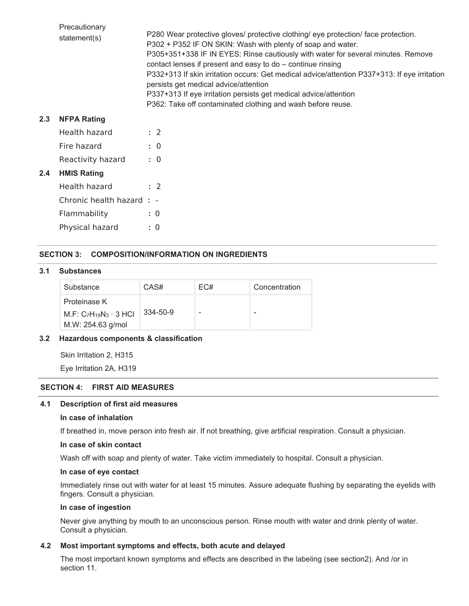|     | Precautionary<br>statement(s) | P280 Wear protective gloves/ protective clothing/ eye protection/ face protection.<br>P302 + P352 IF ON SKIN: Wash with plenty of soap and water.<br>P305+351+338 IF IN EYES: Rinse cautiously with water for several minutes. Remove<br>contact lenses if present and easy to do - continue rinsing<br>P332+313 If skin irritation occurs: Get medical advice/attention P337+313: If eye irritation<br>persists get medical advice/attention<br>P337+313 If eye irritation persists get medical advice/attention<br>P362: Take off contaminated clothing and wash before reuse. |
|-----|-------------------------------|----------------------------------------------------------------------------------------------------------------------------------------------------------------------------------------------------------------------------------------------------------------------------------------------------------------------------------------------------------------------------------------------------------------------------------------------------------------------------------------------------------------------------------------------------------------------------------|
| 2.3 | <b>NFPA Rating</b>            |                                                                                                                                                                                                                                                                                                                                                                                                                                                                                                                                                                                  |
|     | Health hazard                 | $\therefore$ 2                                                                                                                                                                                                                                                                                                                                                                                                                                                                                                                                                                   |
|     | Fire hazard                   | $\therefore$ 0                                                                                                                                                                                                                                                                                                                                                                                                                                                                                                                                                                   |
|     | Reactivity hazard             | : 0                                                                                                                                                                                                                                                                                                                                                                                                                                                                                                                                                                              |
| 2.4 | <b>HMIS Rating</b>            |                                                                                                                                                                                                                                                                                                                                                                                                                                                                                                                                                                                  |
|     | Health hazard                 | $\therefore$ 2                                                                                                                                                                                                                                                                                                                                                                                                                                                                                                                                                                   |
|     | Chronic health hazard : -     |                                                                                                                                                                                                                                                                                                                                                                                                                                                                                                                                                                                  |
|     | Flammability                  | : 0                                                                                                                                                                                                                                                                                                                                                                                                                                                                                                                                                                              |
|     | Physical hazard               | : 0                                                                                                                                                                                                                                                                                                                                                                                                                                                                                                                                                                              |

## **SECTION 3: COMPOSITION/INFORMATION ON INGREDIENTS**

#### **3.1 Substances**

| Substance                                                            | CAS#     | EC# | Concentration |
|----------------------------------------------------------------------|----------|-----|---------------|
| Proteinase K<br>M.F: $C_7H_{19}N_3 \cdot 3$ HCl<br>M.W: 254.63 g/mol | 334-50-9 |     | -             |

## **3.2 Hazardous components & classification**

Skin Irritation 2, H315

Eye Irritation 2A, H319

## **SECTION 4: FIRST AID MEASURES**

## **4.1 Description of first aid measures**

#### **In case of inhalation**

If breathed in, move person into fresh air. If not breathing, give artificial respiration. Consult a physician.

#### **In case of skin contact**

Wash off with soap and plenty of water. Take victim immediately to hospital. Consult a physician.

## **In case of eye contact**

Immediately rinse out with water for at least 15 minutes. Assure adequate flushing by separating the eyelids with fingers. Consult a physician.

#### **In case of ingestion**

Never give anything by mouth to an unconscious person. Rinse mouth with water and drink plenty of water. Consult a physician.

#### **4.2 Most important symptoms and effects, both acute and delayed**

The most important known symptoms and effects are described in the labeling (see section2). And /or in section 11.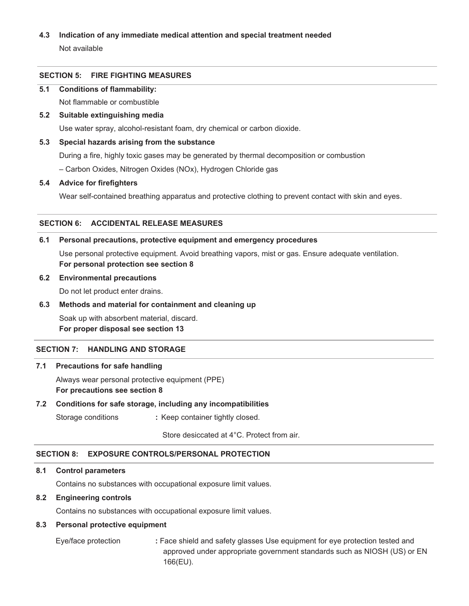## **4.3 Indication of any immediate medical attention and special treatment needed**

Not available

## **SECTION 5: FIRE FIGHTING MEASURES**

#### **5.1 Conditions of flammability:**

Not flammable or combustible

## **5.2 Suitable extinguishing media**

Use water spray, alcohol-resistant foam, dry chemical or carbon dioxide.

#### **5.3 Special hazards arising from the substance**

During a fire, highly toxic gases may be generated by thermal decomposition or combustion

– Carbon Oxides, Nitrogen Oxides (NOx), Hydrogen Chloride gas

#### **5.4 Advice for firefighters**

Wear self-contained breathing apparatus and protective clothing to prevent contact with skin and eyes.

## **SECTION 6: ACCIDENTAL RELEASE MEASURES**

#### **6.1 Personal precautions, protective equipment and emergency procedures**

Use personal protective equipment. Avoid breathing vapors, mist or gas. Ensure adequate ventilation. **For personal protection see section 8** 

#### **6.2 Environmental precautions**

Do not let product enter drains.

#### **6.3 Methods and material for containment and cleaning up**

Soak up with absorbent material, discard. **For proper disposal see section 13** 

#### **SECTION 7: HANDLING AND STORAGE**

#### **7.1 Precautions for safe handling**

Always wear personal protective equipment (PPE) **For precautions see section 8** 

#### **7.2 Conditions for safe storage, including any incompatibilities**

Storage conditions **:** Keep container tightly closed.

Store desiccated at 4°C. Protect from air.

## **SECTION 8: EXPOSURE CONTROLS/PERSONAL PROTECTION**

## **8.1 Control parameters**

Contains no substances with occupational exposure limit values.

#### **8.2 Engineering controls**

Contains no substances with occupational exposure limit values.

#### **8.3 Personal protective equipment**

Eye/face protection **:** Face shield and safety glasses Use equipment for eye protection tested and approved under appropriate government standards such as NIOSH (US) or EN 166(EU).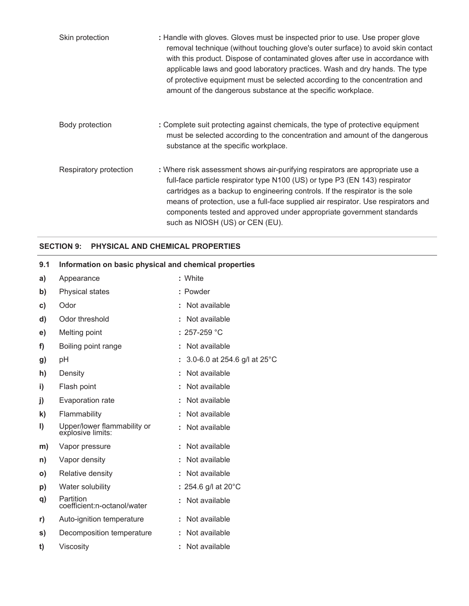| Skin protection        | : Handle with gloves. Gloves must be inspected prior to use. Use proper glove<br>removal technique (without touching glove's outer surface) to avoid skin contact<br>with this product. Dispose of contaminated gloves after use in accordance with<br>applicable laws and good laboratory practices. Wash and dry hands. The type<br>of protective equipment must be selected according to the concentration and<br>amount of the dangerous substance at the specific workplace. |
|------------------------|-----------------------------------------------------------------------------------------------------------------------------------------------------------------------------------------------------------------------------------------------------------------------------------------------------------------------------------------------------------------------------------------------------------------------------------------------------------------------------------|
| Body protection        | : Complete suit protecting against chemicals, the type of protective equipment<br>must be selected according to the concentration and amount of the dangerous<br>substance at the specific workplace.                                                                                                                                                                                                                                                                             |
| Respiratory protection | : Where risk assessment shows air-purifying respirators are appropriate use a<br>full-face particle respirator type N100 (US) or type P3 (EN 143) respirator<br>cartridges as a backup to engineering controls. If the respirator is the sole<br>means of protection, use a full-face supplied air respirator. Use respirators and<br>components tested and approved under appropriate government standards<br>such as NIOSH (US) or CEN (EU).                                    |

## **SECTION 9: PHYSICAL AND CHEMICAL PROPERTIES**

| 9.1          | Information on basic physical and chemical properties |                                           |  |
|--------------|-------------------------------------------------------|-------------------------------------------|--|
| a)           | Appearance                                            | : White                                   |  |
| b)           | Physical states                                       | : Powder                                  |  |
| C)           | Odor                                                  | : Not available                           |  |
| d)           | Odor threshold                                        | : Not available                           |  |
| e)           | Melting point                                         | : $257-259$ °C                            |  |
| f)           | Boiling point range                                   | : Not available                           |  |
| g)           | pH                                                    | : 3.0-6.0 at 254.6 g/l at 25 $^{\circ}$ C |  |
| h)           | Density                                               | : Not available                           |  |
| i)           | Flash point                                           | : Not available                           |  |
| j)           | Evaporation rate                                      | : Not available                           |  |
| $\mathbf{k}$ | Flammability                                          | : Not available                           |  |
| $\vert$      | Upper/lower flammability or<br>explosive limits:      | : Not available                           |  |
| m)           | Vapor pressure                                        | : Not available                           |  |
| n)           | Vapor density                                         | : Not available                           |  |
| $\mathsf{o}$ | Relative density                                      | : Not available                           |  |
| p)           | Water solubility                                      | : 254.6 g/l at $20^{\circ}$ C             |  |
| q)           | Partition<br>coefficient:n-octanol/water              | : Not available                           |  |
| r)           | Auto-ignition temperature                             | : Not available                           |  |
| s)           | Decomposition temperature                             | : Not available                           |  |
| t)           | Viscosity                                             | : Not available                           |  |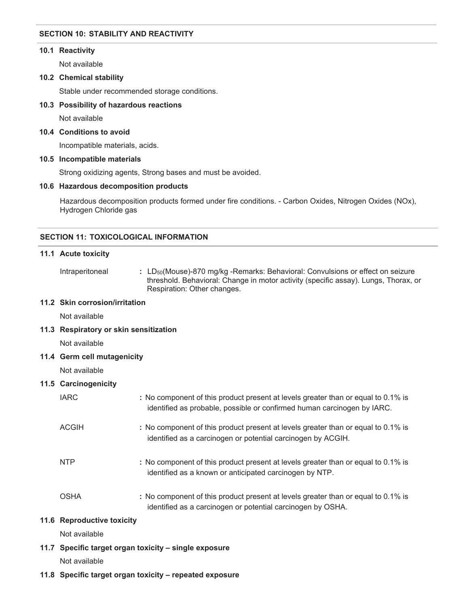## **SECTION 10: STABILITY AND REACTIVITY**

#### **10.1 Reactivity**

Not available

#### **10.2 Chemical stability**

Stable under recommended storage conditions.

#### **10.3 Possibility of hazardous reactions**

Not available

#### **10.4 Conditions to avoid**

Incompatible materials, acids.

#### **10.5 Incompatible materials**

Strong oxidizing agents, Strong bases and must be avoided.

#### **10.6 Hazardous decomposition products**

Hazardous decomposition products formed under fire conditions. - Carbon Oxides, Nitrogen Oxides (NOx), Hydrogen Chloride gas

#### **SECTION 11: TOXICOLOGICAL INFORMATION**

#### **11.1 Acute toxicity**

**11.2 Skin corrosion/irritation** 

Intraperitoneal : LD<sub>50</sub>(Mouse)-870 mg/kg -Remarks: Behavioral: Convulsions or effect on seizure threshold. Behavioral: Change in motor activity (specific assay). Lungs, Thorax, or Respiration: Other changes.

# Not available **11.3 Respiratory or skin sensitization**  Not available **11.4 Germ cell mutagenicity**  Not available **11.5 Carcinogenicity**  IARC **:** No component of this product present at levels greater than or equal to 0.1% is identified as probable, possible or confirmed human carcinogen by IARC. ACGIH **:** No component of this product present at levels greater than or equal to 0.1% is identified as a carcinogen or potential carcinogen by ACGIH. NTP **:** No component of this product present at levels greater than or equal to 0.1% is identified as a known or anticipated carcinogen by NTP. OSHA **:** No component of this product present at levels greater than or equal to 0.1% is identified as a carcinogen or potential carcinogen by OSHA. **11.6 Reproductive toxicity**  Not available

**11.7 Specific target organ toxicity – single exposure** 

Not available

**11.8 Specific target organ toxicity – repeated exposure**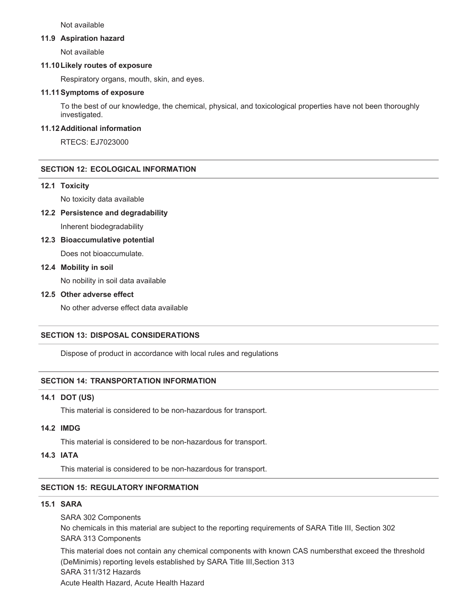Not available

#### **11.9 Aspiration hazard**

Not available

#### **11.10 Likely routes of exposure**

Respiratory organs, mouth, skin, and eyes.

#### **11.11 Symptoms of exposure**

To the best of our knowledge, the chemical, physical, and toxicological properties have not been thoroughly investigated.

## **11.12 Additional information**

RTECS: EJ7023000

## **SECTION 12: ECOLOGICAL INFORMATION**

#### **12.1 Toxicity**

No toxicity data available

#### **12.2 Persistence and degradability**

Inherent biodegradability

#### **12.3 Bioaccumulative potential**

Does not bioaccumulate.

#### **12.4 Mobility in soil**

No nobility in soil data available

## **12.5 Other adverse effect**

No other adverse effect data available

#### **SECTION 13: DISPOSAL CONSIDERATIONS**

Dispose of product in accordance with local rules and regulations

#### **SECTION 14: TRANSPORTATION INFORMATION**

#### **14.1 DOT (US)**

This material is considered to be non-hazardous for transport.

#### **14.2 IMDG**

This material is considered to be non-hazardous for transport.

## **14.3 IATA**

This material is considered to be non-hazardous for transport.

#### **SECTION 15: REGULATORY INFORMATION**

#### **15.1 SARA**

SARA 302 Components No chemicals in this material are subject to the reporting requirements of SARA Title III, Section 302 SARA 313 Components

This material does not contain any chemical components with known CAS numbers that exceed the threshold (DeMinimis) reporting levels established by SARA Title III,Section 313 SARA 311/312 Hazards Acute Health Hazard, Acute Health Hazard